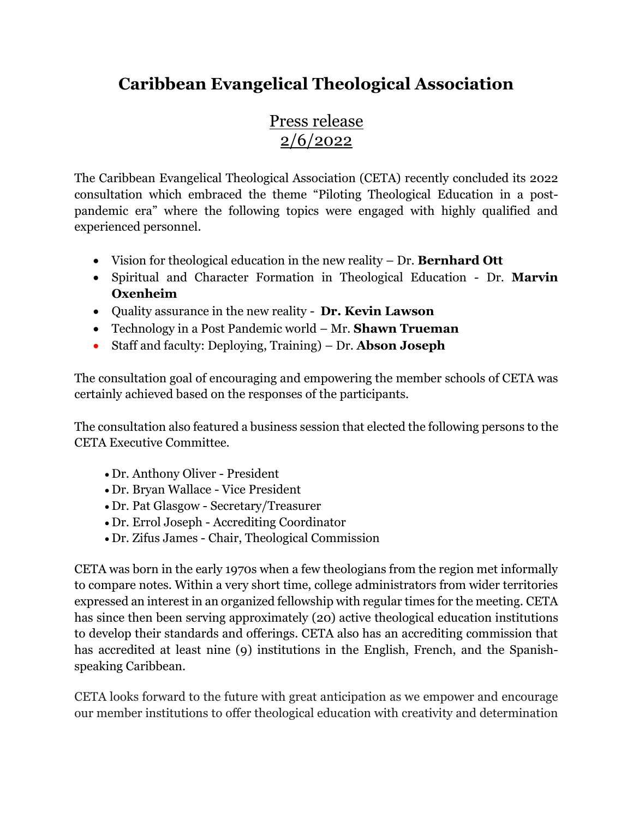## **Caribbean Evangelical Theological Association**

## Press release 2/6/2022

The Caribbean Evangelical Theological Association (CETA) recently concluded its 2022 consultation which embraced the theme "Piloting Theological Education in a postpandemic era" where the following topics were engaged with highly qualified and experienced personnel.

- Vision for theological education in the new reality Dr. **Bernhard Ott**
- Spiritual and Character Formation in Theological Education Dr. **Marvin Oxenheim**
- Quality assurance in the new reality **Dr. Kevin Lawson**
- Technology in a Post Pandemic world Mr. **Shawn Trueman**
- Staff and faculty: Deploying, Training) Dr. **Abson Joseph**

The consultation goal of encouraging and empowering the member schools of CETA was certainly achieved based on the responses of the participants.

The consultation also featured a business session that elected the following persons to the CETA Executive Committee.

- Dr. Anthony Oliver President
- Dr. Bryan Wallace Vice President
- Dr. Pat Glasgow Secretary/Treasurer
- Dr. Errol Joseph Accrediting Coordinator
- Dr. Zifus James Chair, Theological Commission

CETA was born in the early 1970s when a few theologians from the region met informally to compare notes. Within a very short time, college administrators from wider territories expressed an interest in an organized fellowship with regular times for the meeting. CETA has since then been serving approximately (20) active theological education institutions to develop their standards and offerings. CETA also has an accrediting commission that has accredited at least nine (9) institutions in the English, French, and the Spanishspeaking Caribbean.

CETA looks forward to the future with great anticipation as we empower and encourage our member institutions to offer theological education with creativity and determination